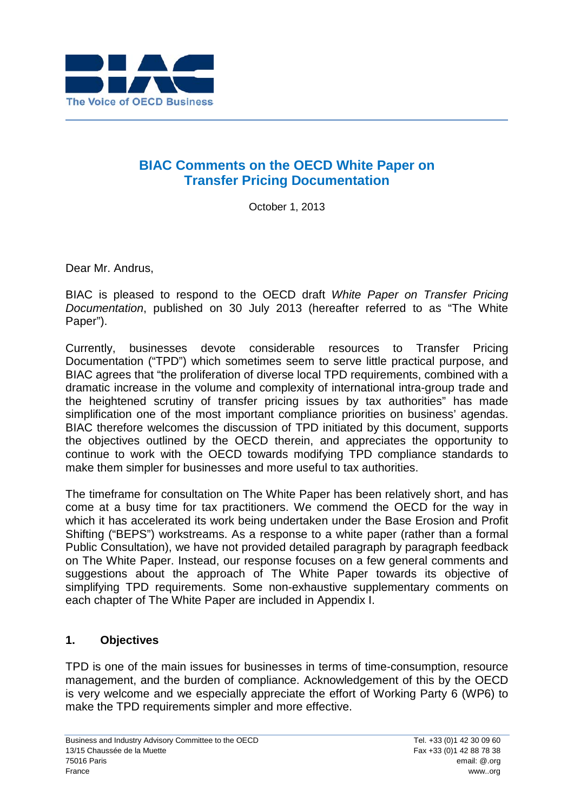

# **BIAC Comments on the OECD White Paper on Transfer Pricing Documentation**

October 1, 2013

Dear Mr. Andrus,

BIAC is pleased to respond to the OECD draft *White Paper on Transfer Pricing Documentation*, published on 30 July 2013 (hereafter referred to as "The White Paper").

Currently, businesses devote considerable resources to Transfer Pricing Documentation ("TPD") which sometimes seem to serve little practical purpose, and BIAC agrees that "the proliferation of diverse local TPD requirements, combined with a dramatic increase in the volume and complexity of international intra-group trade and the heightened scrutiny of transfer pricing issues by tax authorities" has made simplification one of the most important compliance priorities on business' agendas. BIAC therefore welcomes the discussion of TPD initiated by this document, supports the objectives outlined by the OECD therein, and appreciates the opportunity to continue to work with the OECD towards modifying TPD compliance standards to make them simpler for businesses and more useful to tax authorities.

The timeframe for consultation on The White Paper has been relatively short, and has come at a busy time for tax practitioners. We commend the OECD for the way in which it has accelerated its work being undertaken under the Base Erosion and Profit Shifting ("BEPS") workstreams. As a response to a white paper (rather than a formal Public Consultation), we have not provided detailed paragraph by paragraph feedback on The White Paper. Instead, our response focuses on a few general comments and suggestions about the approach of The White Paper towards its objective of simplifying TPD requirements. Some non-exhaustive supplementary comments on each chapter of The White Paper are included in Appendix I.

# **1. Objectives**

TPD is one of the main issues for businesses in terms of time-consumption, resource management, and the burden of compliance. Acknowledgement of this by the OECD is very welcome and we especially appreciate the effort of Working Party 6 (WP6) to make the TPD requirements simpler and more effective.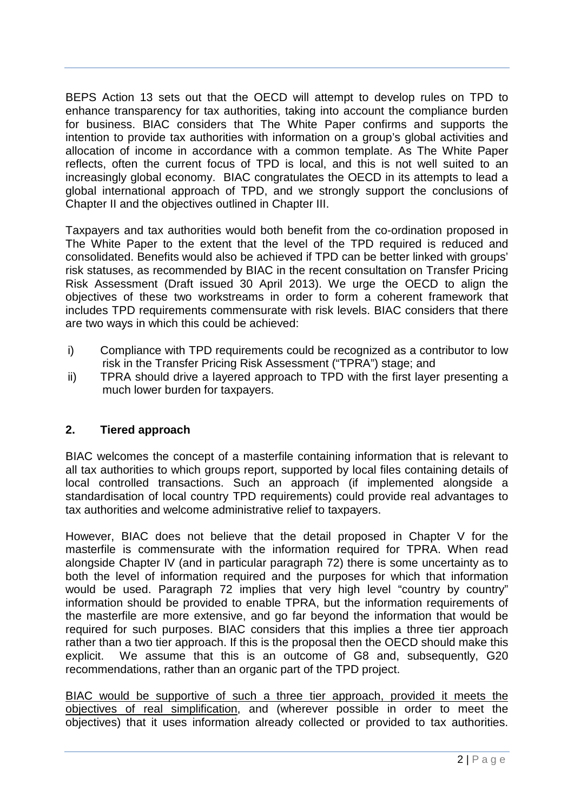BEPS Action 13 sets out that the OECD will attempt to develop rules on TPD to enhance transparency for tax authorities, taking into account the compliance burden for business. BIAC considers that The White Paper confirms and supports the intention to provide tax authorities with information on a group's global activities and allocation of income in accordance with a common template. As The White Paper reflects, often the current focus of TPD is local, and this is not well suited to an increasingly global economy. BIAC congratulates the OECD in its attempts to lead a global international approach of TPD, and we strongly support the conclusions of Chapter II and the objectives outlined in Chapter III.

Taxpayers and tax authorities would both benefit from the co-ordination proposed in The White Paper to the extent that the level of the TPD required is reduced and consolidated. Benefits would also be achieved if TPD can be better linked with groups' risk statuses, as recommended by BIAC in the recent consultation on Transfer Pricing Risk Assessment (Draft issued 30 April 2013). We urge the OECD to align the objectives of these two workstreams in order to form a coherent framework that includes TPD requirements commensurate with risk levels. BIAC considers that there are two ways in which this could be achieved:

- i) Compliance with TPD requirements could be recognized as a contributor to low risk in the Transfer Pricing Risk Assessment ("TPRA") stage; and
- ii) TPRA should drive a layered approach to TPD with the first layer presenting a much lower burden for taxpayers.

# **2. Tiered approach**

BIAC welcomes the concept of a masterfile containing information that is relevant to all tax authorities to which groups report, supported by local files containing details of local controlled transactions. Such an approach (if implemented alongside a standardisation of local country TPD requirements) could provide real advantages to tax authorities and welcome administrative relief to taxpayers.

However, BIAC does not believe that the detail proposed in Chapter V for the masterfile is commensurate with the information required for TPRA. When read alongside Chapter IV (and in particular paragraph 72) there is some uncertainty as to both the level of information required and the purposes for which that information would be used. Paragraph 72 implies that very high level "country by country" information should be provided to enable TPRA, but the information requirements of the masterfile are more extensive, and go far beyond the information that would be required for such purposes. BIAC considers that this implies a three tier approach rather than a two tier approach. If this is the proposal then the OECD should make this explicit. We assume that this is an outcome of G8 and, subsequently, G20 recommendations, rather than an organic part of the TPD project.

BIAC would be supportive of such a three tier approach, provided it meets the objectives of real simplification, and (wherever possible in order to meet the objectives) that it uses information already collected or provided to tax authorities.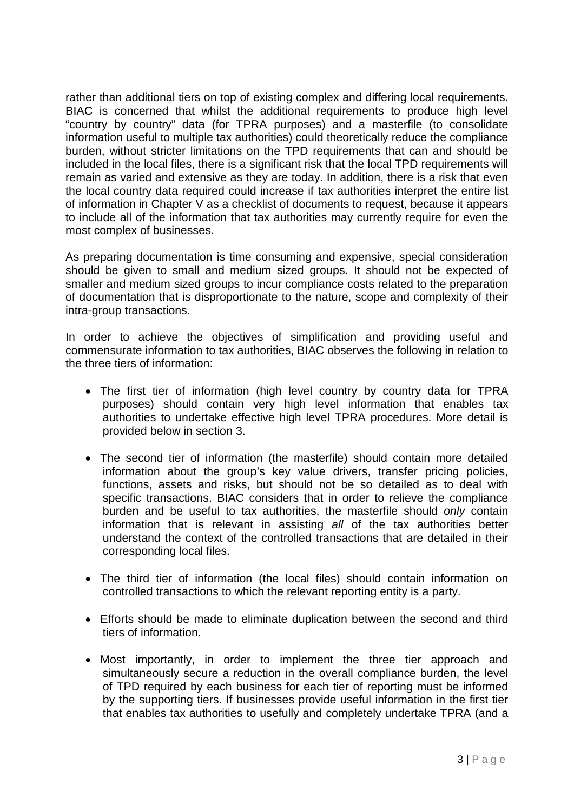rather than additional tiers on top of existing complex and differing local requirements. BIAC is concerned that whilst the additional requirements to produce high level "country by country" data (for TPRA purposes) and a masterfile (to consolidate information useful to multiple tax authorities) could theoretically reduce the compliance burden, without stricter limitations on the TPD requirements that can and should be included in the local files, there is a significant risk that the local TPD requirements will remain as varied and extensive as they are today. In addition, there is a risk that even the local country data required could increase if tax authorities interpret the entire list of information in Chapter V as a checklist of documents to request, because it appears to include all of the information that tax authorities may currently require for even the most complex of businesses.

As preparing documentation is time consuming and expensive, special consideration should be given to small and medium sized groups. It should not be expected of smaller and medium sized groups to incur compliance costs related to the preparation of documentation that is disproportionate to the nature, scope and complexity of their intra-group transactions.

In order to achieve the objectives of simplification and providing useful and commensurate information to tax authorities, BIAC observes the following in relation to the three tiers of information:

- The first tier of information (high level country by country data for TPRA purposes) should contain very high level information that enables tax authorities to undertake effective high level TPRA procedures. More detail is provided below in section 3.
- The second tier of information (the masterfile) should contain more detailed information about the group's key value drivers, transfer pricing policies, functions, assets and risks, but should not be so detailed as to deal with specific transactions. BIAC considers that in order to relieve the compliance burden and be useful to tax authorities, the masterfile should *only* contain information that is relevant in assisting *all* of the tax authorities better understand the context of the controlled transactions that are detailed in their corresponding local files.
- The third tier of information (the local files) should contain information on controlled transactions to which the relevant reporting entity is a party.
- Efforts should be made to eliminate duplication between the second and third tiers of information.
- Most importantly, in order to implement the three tier approach and simultaneously secure a reduction in the overall compliance burden, the level of TPD required by each business for each tier of reporting must be informed by the supporting tiers. If businesses provide useful information in the first tier that enables tax authorities to usefully and completely undertake TPRA (and a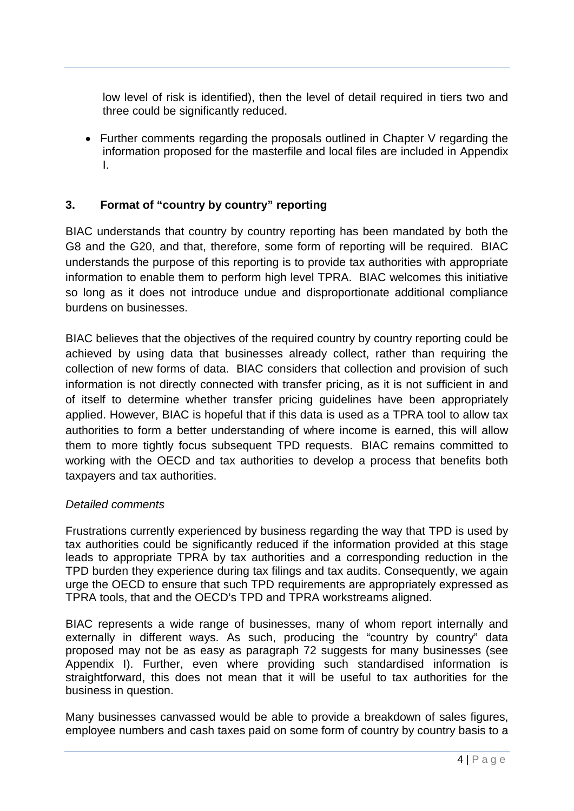low level of risk is identified), then the level of detail required in tiers two and three could be significantly reduced.

• Further comments regarding the proposals outlined in Chapter V regarding the information proposed for the masterfile and local files are included in Appendix I.

# **3. Format of "country by country" reporting**

BIAC understands that country by country reporting has been mandated by both the G8 and the G20, and that, therefore, some form of reporting will be required. BIAC understands the purpose of this reporting is to provide tax authorities with appropriate information to enable them to perform high level TPRA. BIAC welcomes this initiative so long as it does not introduce undue and disproportionate additional compliance burdens on businesses.

BIAC believes that the objectives of the required country by country reporting could be achieved by using data that businesses already collect, rather than requiring the collection of new forms of data. BIAC considers that collection and provision of such information is not directly connected with transfer pricing, as it is not sufficient in and of itself to determine whether transfer pricing guidelines have been appropriately applied. However, BIAC is hopeful that if this data is used as a TPRA tool to allow tax authorities to form a better understanding of where income is earned, this will allow them to more tightly focus subsequent TPD requests. BIAC remains committed to working with the OECD and tax authorities to develop a process that benefits both taxpayers and tax authorities.

#### *Detailed comments*

Frustrations currently experienced by business regarding the way that TPD is used by tax authorities could be significantly reduced if the information provided at this stage leads to appropriate TPRA by tax authorities and a corresponding reduction in the TPD burden they experience during tax filings and tax audits. Consequently, we again urge the OECD to ensure that such TPD requirements are appropriately expressed as TPRA tools, that and the OECD's TPD and TPRA workstreams aligned.

BIAC represents a wide range of businesses, many of whom report internally and externally in different ways. As such, producing the "country by country" data proposed may not be as easy as paragraph 72 suggests for many businesses (see Appendix I). Further, even where providing such standardised information is straightforward, this does not mean that it will be useful to tax authorities for the business in question.

Many businesses canvassed would be able to provide a breakdown of sales figures, employee numbers and cash taxes paid on some form of country by country basis to a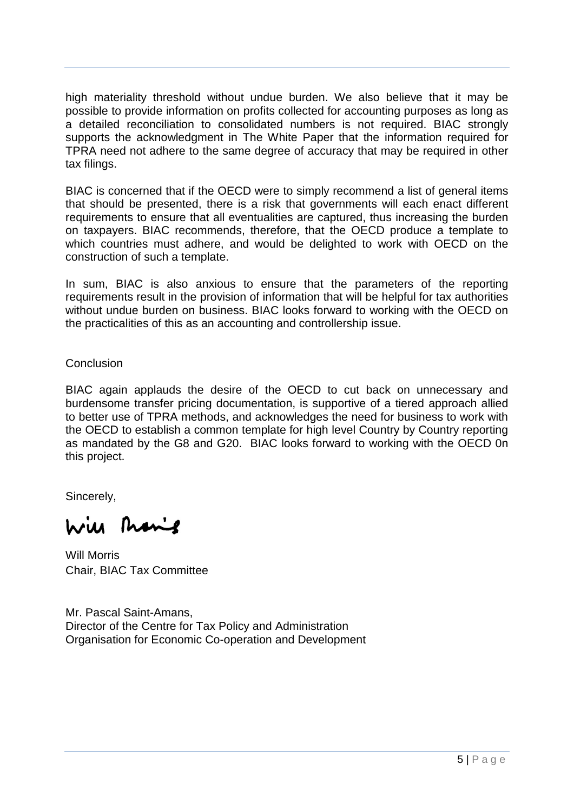high materiality threshold without undue burden. We also believe that it may be possible to provide information on profits collected for accounting purposes as long as a detailed reconciliation to consolidated numbers is not required. BIAC strongly supports the acknowledgment in The White Paper that the information required for TPRA need not adhere to the same degree of accuracy that may be required in other tax filings.

BIAC is concerned that if the OECD were to simply recommend a list of general items that should be presented, there is a risk that governments will each enact different requirements to ensure that all eventualities are captured, thus increasing the burden on taxpayers. BIAC recommends, therefore, that the OECD produce a template to which countries must adhere, and would be delighted to work with OECD on the construction of such a template.

In sum, BIAC is also anxious to ensure that the parameters of the reporting requirements result in the provision of information that will be helpful for tax authorities without undue burden on business. BIAC looks forward to working with the OECD on the practicalities of this as an accounting and controllership issue.

**Conclusion** 

BIAC again applauds the desire of the OECD to cut back on unnecessary and burdensome transfer pricing documentation, is supportive of a tiered approach allied to better use of TPRA methods, and acknowledges the need for business to work with the OECD to establish a common template for high level Country by Country reporting as mandated by the G8 and G20. BIAC looks forward to working with the OECD 0n this project.

Sincerely,

wie Manie

Will Morris Chair, BIAC Tax Committee

Mr. Pascal Saint-Amans, Director of the Centre for Tax Policy and Administration Organisation for Economic Co-operation and Development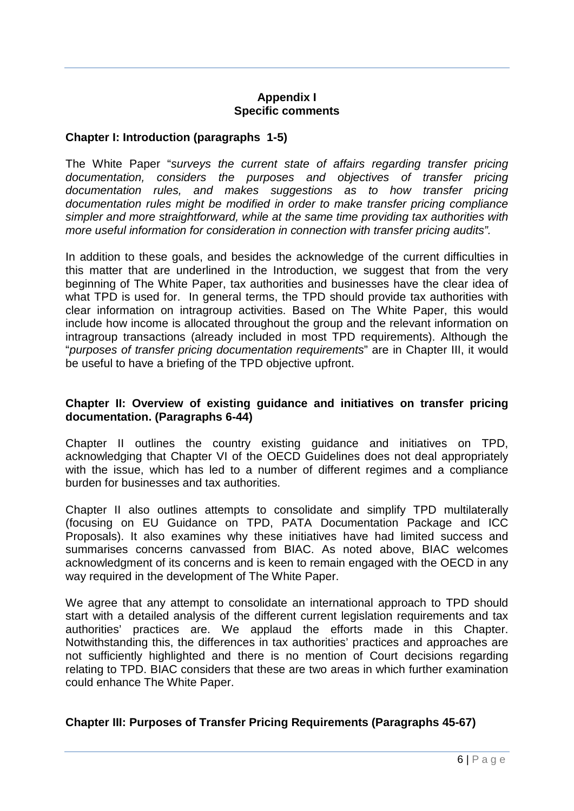### **Appendix I Specific comments**

### **Chapter I: Introduction (paragraphs 1-5)**

The White Paper "*surveys the current state of affairs regarding transfer pricing documentation, considers the purposes and objectives of transfer pricing documentation rules, and makes suggestions as to how transfer pricing documentation rules might be modified in order to make transfer pricing compliance simpler and more straightforward, while at the same time providing tax authorities with more useful information for consideration in connection with transfer pricing audits".* 

In addition to these goals, and besides the acknowledge of the current difficulties in this matter that are underlined in the Introduction, we suggest that from the very beginning of The White Paper, tax authorities and businesses have the clear idea of what TPD is used for. In general terms, the TPD should provide tax authorities with clear information on intragroup activities. Based on The White Paper, this would include how income is allocated throughout the group and the relevant information on intragroup transactions (already included in most TPD requirements). Although the "*purposes of transfer pricing documentation requirements*" are in Chapter III, it would be useful to have a briefing of the TPD objective upfront.

#### **Chapter II: Overview of existing guidance and initiatives on transfer pricing documentation. (Paragraphs 6-44)**

Chapter II outlines the country existing guidance and initiatives on TPD, acknowledging that Chapter VI of the OECD Guidelines does not deal appropriately with the issue, which has led to a number of different regimes and a compliance burden for businesses and tax authorities.

Chapter II also outlines attempts to consolidate and simplify TPD multilaterally (focusing on EU Guidance on TPD, PATA Documentation Package and ICC Proposals). It also examines why these initiatives have had limited success and summarises concerns canvassed from BIAC. As noted above, BIAC welcomes acknowledgment of its concerns and is keen to remain engaged with the OECD in any way required in the development of The White Paper.

We agree that any attempt to consolidate an international approach to TPD should start with a detailed analysis of the different current legislation requirements and tax authorities' practices are. We applaud the efforts made in this Chapter. Notwithstanding this, the differences in tax authorities' practices and approaches are not sufficiently highlighted and there is no mention of Court decisions regarding relating to TPD. BIAC considers that these are two areas in which further examination could enhance The White Paper.

# **Chapter III: Purposes of Transfer Pricing Requirements (Paragraphs 45-67)**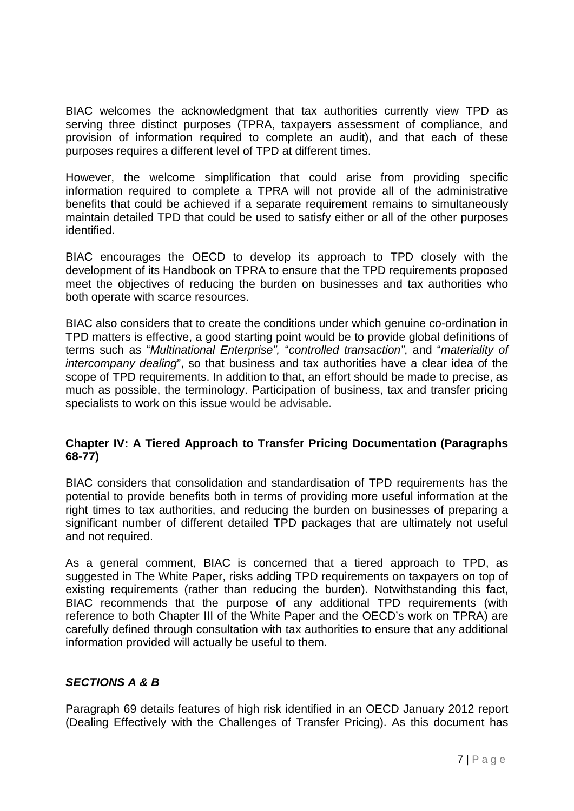BIAC welcomes the acknowledgment that tax authorities currently view TPD as serving three distinct purposes (TPRA, taxpayers assessment of compliance, and provision of information required to complete an audit), and that each of these purposes requires a different level of TPD at different times.

However, the welcome simplification that could arise from providing specific information required to complete a TPRA will not provide all of the administrative benefits that could be achieved if a separate requirement remains to simultaneously maintain detailed TPD that could be used to satisfy either or all of the other purposes identified.

BIAC encourages the OECD to develop its approach to TPD closely with the development of its Handbook on TPRA to ensure that the TPD requirements proposed meet the objectives of reducing the burden on businesses and tax authorities who both operate with scarce resources.

BIAC also considers that to create the conditions under which genuine co-ordination in TPD matters is effective, a good starting point would be to provide global definitions of terms such as "*Multinational Enterprise",* "*controlled transaction"*, and "*materiality of intercompany dealing*", so that business and tax authorities have a clear idea of the scope of TPD requirements. In addition to that, an effort should be made to precise, as much as possible, the terminology. Participation of business, tax and transfer pricing specialists to work on this issue would be advisable.

### **Chapter IV: A Tiered Approach to Transfer Pricing Documentation (Paragraphs 68-77)**

BIAC considers that consolidation and standardisation of TPD requirements has the potential to provide benefits both in terms of providing more useful information at the right times to tax authorities, and reducing the burden on businesses of preparing a significant number of different detailed TPD packages that are ultimately not useful and not required.

As a general comment, BIAC is concerned that a tiered approach to TPD, as suggested in The White Paper, risks adding TPD requirements on taxpayers on top of existing requirements (rather than reducing the burden). Notwithstanding this fact, BIAC recommends that the purpose of any additional TPD requirements (with reference to both Chapter III of the White Paper and the OECD's work on TPRA) are carefully defined through consultation with tax authorities to ensure that any additional information provided will actually be useful to them.

# *SECTIONS A & B*

Paragraph 69 details features of high risk identified in an OECD January 2012 report (Dealing Effectively with the Challenges of Transfer Pricing). As this document has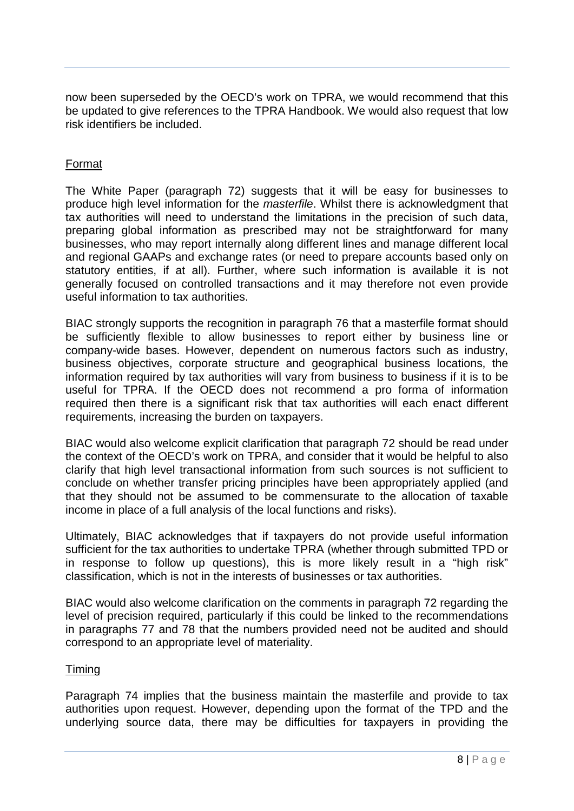now been superseded by the OECD's work on TPRA, we would recommend that this be updated to give references to the TPRA Handbook. We would also request that low risk identifiers be included.

### Format

The White Paper (paragraph 72) suggests that it will be easy for businesses to produce high level information for the *masterfile*. Whilst there is acknowledgment that tax authorities will need to understand the limitations in the precision of such data, preparing global information as prescribed may not be straightforward for many businesses, who may report internally along different lines and manage different local and regional GAAPs and exchange rates (or need to prepare accounts based only on statutory entities, if at all). Further, where such information is available it is not generally focused on controlled transactions and it may therefore not even provide useful information to tax authorities.

BIAC strongly supports the recognition in paragraph 76 that a masterfile format should be sufficiently flexible to allow businesses to report either by business line or company-wide bases. However, dependent on numerous factors such as industry, business objectives, corporate structure and geographical business locations, the information required by tax authorities will vary from business to business if it is to be useful for TPRA. If the OECD does not recommend a pro forma of information required then there is a significant risk that tax authorities will each enact different requirements, increasing the burden on taxpayers.

BIAC would also welcome explicit clarification that paragraph 72 should be read under the context of the OECD's work on TPRA, and consider that it would be helpful to also clarify that high level transactional information from such sources is not sufficient to conclude on whether transfer pricing principles have been appropriately applied (and that they should not be assumed to be commensurate to the allocation of taxable income in place of a full analysis of the local functions and risks).

Ultimately, BIAC acknowledges that if taxpayers do not provide useful information sufficient for the tax authorities to undertake TPRA (whether through submitted TPD or in response to follow up questions), this is more likely result in a "high risk" classification, which is not in the interests of businesses or tax authorities.

BIAC would also welcome clarification on the comments in paragraph 72 regarding the level of precision required, particularly if this could be linked to the recommendations in paragraphs 77 and 78 that the numbers provided need not be audited and should correspond to an appropriate level of materiality.

#### Timing

Paragraph 74 implies that the business maintain the masterfile and provide to tax authorities upon request. However, depending upon the format of the TPD and the underlying source data, there may be difficulties for taxpayers in providing the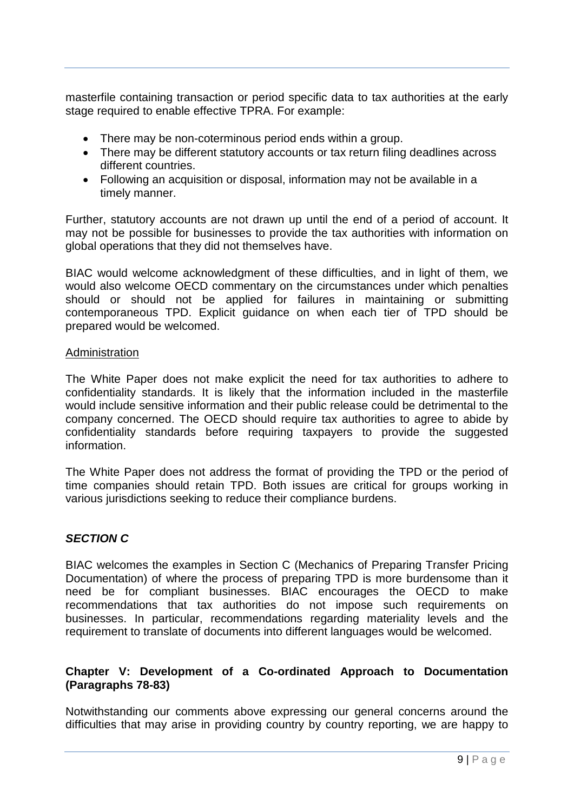masterfile containing transaction or period specific data to tax authorities at the early stage required to enable effective TPRA. For example:

- There may be non-coterminous period ends within a group.
- There may be different statutory accounts or tax return filing deadlines across different countries.
- Following an acquisition or disposal, information may not be available in a timely manner.

Further, statutory accounts are not drawn up until the end of a period of account. It may not be possible for businesses to provide the tax authorities with information on global operations that they did not themselves have.

BIAC would welcome acknowledgment of these difficulties, and in light of them, we would also welcome OECD commentary on the circumstances under which penalties should or should not be applied for failures in maintaining or submitting contemporaneous TPD. Explicit guidance on when each tier of TPD should be prepared would be welcomed.

#### Administration

The White Paper does not make explicit the need for tax authorities to adhere to confidentiality standards. It is likely that the information included in the masterfile would include sensitive information and their public release could be detrimental to the company concerned. The OECD should require tax authorities to agree to abide by confidentiality standards before requiring taxpayers to provide the suggested information.

The White Paper does not address the format of providing the TPD or the period of time companies should retain TPD. Both issues are critical for groups working in various jurisdictions seeking to reduce their compliance burdens.

# *SECTION C*

BIAC welcomes the examples in Section C (Mechanics of Preparing Transfer Pricing Documentation) of where the process of preparing TPD is more burdensome than it need be for compliant businesses. BIAC encourages the OECD to make recommendations that tax authorities do not impose such requirements on businesses. In particular, recommendations regarding materiality levels and the requirement to translate of documents into different languages would be welcomed.

### **Chapter V: Development of a Co-ordinated Approach to Documentation (Paragraphs 78-83)**

Notwithstanding our comments above expressing our general concerns around the difficulties that may arise in providing country by country reporting, we are happy to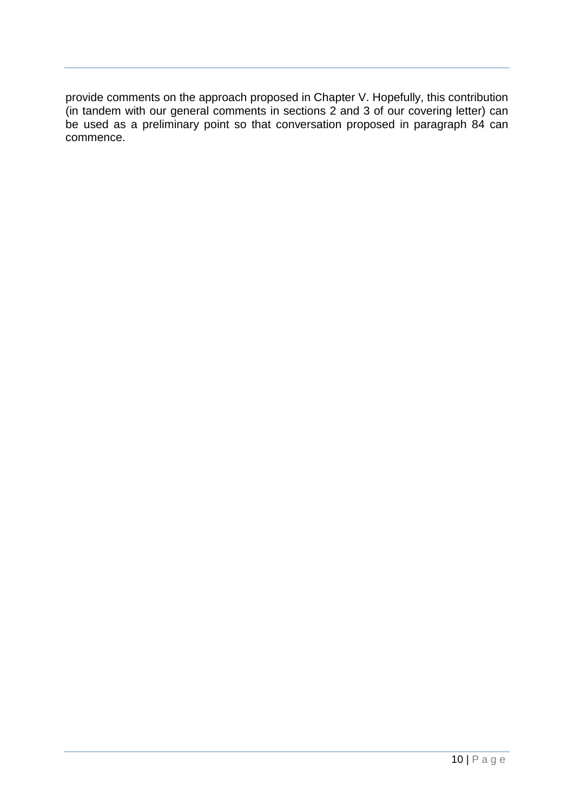provide comments on the approach proposed in Chapter V. Hopefully, this contribution (in tandem with our general comments in sections 2 and 3 of our covering letter) can be used as a preliminary point so that conversation proposed in paragraph 84 can commence.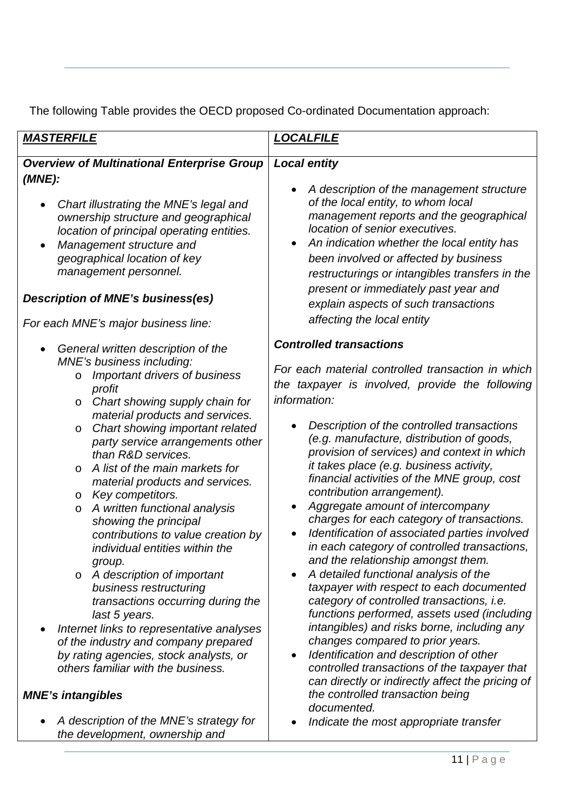The following Table provides the OECD proposed Co-ordinated Documentation approach:

| <u> MASTERFILE</u>                                                                                                                                                                                                                                                                                                                                                                                       | <u>LOCALFILE</u>                                                                                                                                                                                                                                                                                                                                                                                                                                                                                                          |
|----------------------------------------------------------------------------------------------------------------------------------------------------------------------------------------------------------------------------------------------------------------------------------------------------------------------------------------------------------------------------------------------------------|---------------------------------------------------------------------------------------------------------------------------------------------------------------------------------------------------------------------------------------------------------------------------------------------------------------------------------------------------------------------------------------------------------------------------------------------------------------------------------------------------------------------------|
| <b>Overview of Multinational Enterprise Group</b><br>(MNE):                                                                                                                                                                                                                                                                                                                                              | <b>Local entity</b>                                                                                                                                                                                                                                                                                                                                                                                                                                                                                                       |
| Chart illustrating the MNE's legal and<br>$\bullet$<br>ownership structure and geographical<br>location of principal operating entities.<br>Management structure and<br>$\bullet$<br>geographical location of key<br>management personnel.<br><b>Description of MNE's business(es)</b>                                                                                                                   | A description of the management structure<br>of the local entity, to whom local<br>management reports and the geographical<br>location of senior executives.<br>An indication whether the local entity has<br>been involved or affected by business<br>restructurings or intangibles transfers in the<br>present or immediately past year and                                                                                                                                                                             |
| For each MNE's major business line:                                                                                                                                                                                                                                                                                                                                                                      | explain aspects of such transactions<br>affecting the local entity                                                                                                                                                                                                                                                                                                                                                                                                                                                        |
| General written description of the<br>$\bullet$<br>MNE's business including:<br>Important drivers of business<br>profit<br>Chart showing supply chain for<br>$\circ$                                                                                                                                                                                                                                     | <b>Controlled transactions</b><br>For each material controlled transaction in which<br>the taxpayer is involved, provide the following<br>information:                                                                                                                                                                                                                                                                                                                                                                    |
| material products and services.<br>Chart showing important related<br>$\circ$<br>party service arrangements other<br>than R&D services.<br>A list of the main markets for<br>$\Omega$<br>material products and services.<br>Key competitors.<br>$\circ$<br>A written functional analysis<br>O<br>showing the principal<br>contributions to value creation by<br>individual entities within the<br>group. | Description of the controlled transactions<br>(e.g. manufacture, distribution of goods,<br>provision of services) and context in which<br>it takes place (e.g. business activity,<br>financial activities of the MNE group, cost<br>contribution arrangement).<br>Aggregate amount of intercompany<br>charges for each category of transactions.<br>Identification of associated parties involved<br>in each category of controlled transactions,<br>and the relationship amongst them.                                   |
| A description of important<br>$\circ$<br>business restructuring<br>transactions occurring during the<br>last 5 years.<br>Internet links to representative analyses<br>of the industry and company prepared<br>by rating agencies, stock analysts, or<br>others familiar with the business.<br><b>MNE's intangibles</b><br>A description of the MNE's strategy for<br>the development, ownership and      | A detailed functional analysis of the<br>taxpayer with respect to each documented<br>category of controlled transactions, i.e.<br>functions performed, assets used (including<br>intangibles) and risks borne, including any<br>changes compared to prior years.<br>Identification and description of other<br>$\bullet$<br>controlled transactions of the taxpayer that<br>can directly or indirectly affect the pricing of<br>the controlled transaction being<br>documented.<br>Indicate the most appropriate transfer |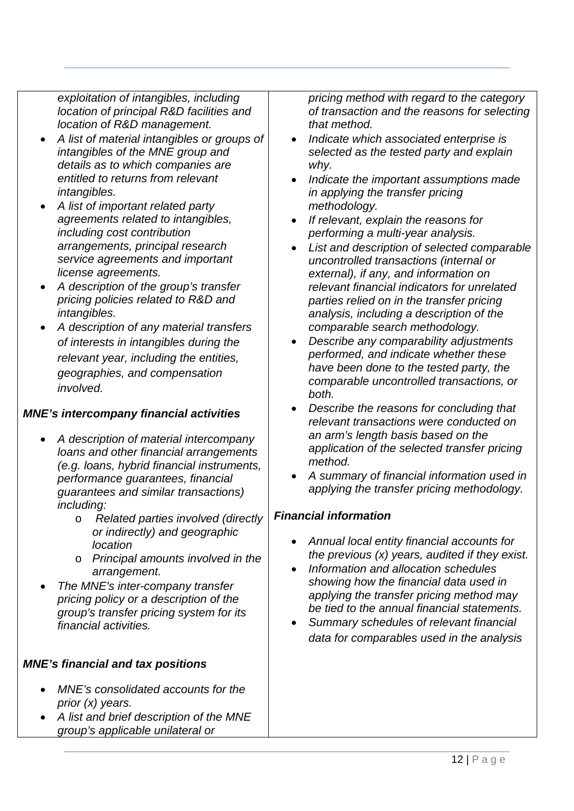*exploitation of intangibles, including location of principal R&D facilities and location of R&D management.* 

- *A list of material intangibles or groups of intangibles of the MNE group and details as to which companies are entitled to returns from relevant intangibles.*
- *A list of important related party agreements related to intangibles, including cost contribution arrangements, principal research service agreements and important license agreements.*
- *A description of the group's transfer pricing policies related to R&D and intangibles.*
- *A description of any material transfers of interests in intangibles during the relevant year, including the entities, geographies, and compensation involved.*

# *MNE's intercompany financial activities*

- *A description of material intercompany loans and other financial arrangements (e.g. loans, hybrid financial instruments, performance guarantees, financial guarantees and similar transactions) including:* 
	- o *Related parties involved (directly or indirectly) and geographic location*
	- o *Principal amounts involved in the arrangement.*
- *The MNE's inter-company transfer pricing policy or a description of the group's transfer pricing system for its financial activities.*

# *MNE's financial and tax positions*

- *MNE's consolidated accounts for the prior (x) years.*
- *A list and brief description of the MNE group's applicable unilateral or*

*pricing method with regard to the category of transaction and the reasons for selecting that method.* 

- *Indicate which associated enterprise is selected as the tested party and explain why.*
- *Indicate the important assumptions made in applying the transfer pricing methodology.*
- *If relevant, explain the reasons for performing a multi-year analysis.*
- *List and description of selected comparable uncontrolled transactions (internal or external), if any, and information on relevant financial indicators for unrelated parties relied on in the transfer pricing analysis, including a description of the comparable search methodology.*
- *Describe any comparability adjustments performed, and indicate whether these have been done to the tested party, the comparable uncontrolled transactions, or both.*
- *Describe the reasons for concluding that relevant transactions were conducted on an arm's length basis based on the application of the selected transfer pricing method.*
- *A summary of financial information used in applying the transfer pricing methodology.*

# *Financial information*

- *Annual local entity financial accounts for the previous (x) years, audited if they exist.*
- *Information and allocation schedules showing how the financial data used in applying the transfer pricing method may be tied to the annual financial statements.*
- *Summary schedules of relevant financial data for comparables used in the analysis*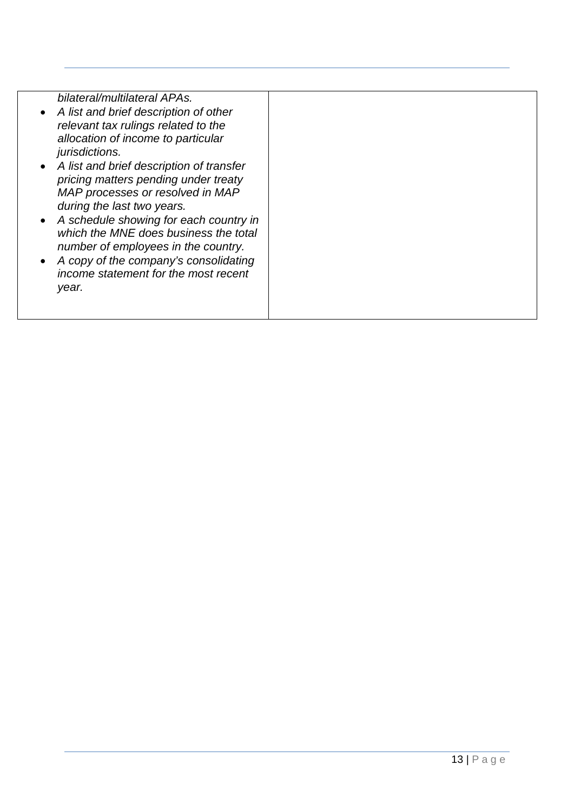*bilateral/multilateral APAs.* 

- *A list and brief description of other relevant tax rulings related to the allocation of income to particular jurisdictions.*
- *A list and brief description of transfer pricing matters pending under treaty MAP processes or resolved in MAP during the last two years.*
- *A schedule showing for each country in which the MNE does business the total number of employees in the country.*
- *A copy of the company's consolidating income statement for the most recent year.*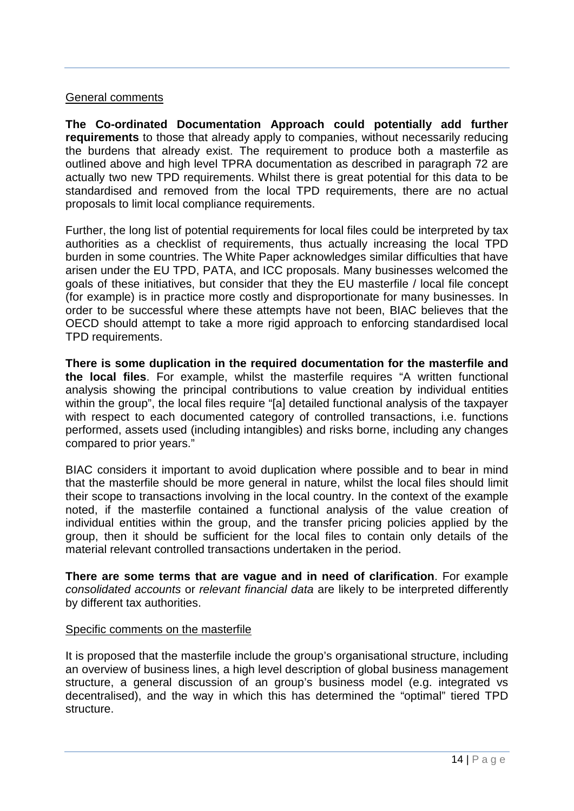#### General comments

**The Co-ordinated Documentation Approach could potentially add further requirements** to those that already apply to companies, without necessarily reducing the burdens that already exist. The requirement to produce both a masterfile as outlined above and high level TPRA documentation as described in paragraph 72 are actually two new TPD requirements. Whilst there is great potential for this data to be standardised and removed from the local TPD requirements, there are no actual proposals to limit local compliance requirements.

Further, the long list of potential requirements for local files could be interpreted by tax authorities as a checklist of requirements, thus actually increasing the local TPD burden in some countries. The White Paper acknowledges similar difficulties that have arisen under the EU TPD, PATA, and ICC proposals. Many businesses welcomed the goals of these initiatives, but consider that they the EU masterfile / local file concept (for example) is in practice more costly and disproportionate for many businesses. In order to be successful where these attempts have not been, BIAC believes that the OECD should attempt to take a more rigid approach to enforcing standardised local TPD requirements.

**There is some duplication in the required documentation for the masterfile and the local files**. For example, whilst the masterfile requires "A written functional analysis showing the principal contributions to value creation by individual entities within the group", the local files require "[a] detailed functional analysis of the taxpayer with respect to each documented category of controlled transactions, i.e. functions performed, assets used (including intangibles) and risks borne, including any changes compared to prior years."

BIAC considers it important to avoid duplication where possible and to bear in mind that the masterfile should be more general in nature, whilst the local files should limit their scope to transactions involving in the local country. In the context of the example noted, if the masterfile contained a functional analysis of the value creation of individual entities within the group, and the transfer pricing policies applied by the group, then it should be sufficient for the local files to contain only details of the material relevant controlled transactions undertaken in the period.

**There are some terms that are vague and in need of clarification**. For example *consolidated accounts* or *relevant financial data* are likely to be interpreted differently by different tax authorities.

#### Specific comments on the masterfile

It is proposed that the masterfile include the group's organisational structure, including an overview of business lines, a high level description of global business management structure, a general discussion of an group's business model (e.g. integrated vs decentralised), and the way in which this has determined the "optimal" tiered TPD structure.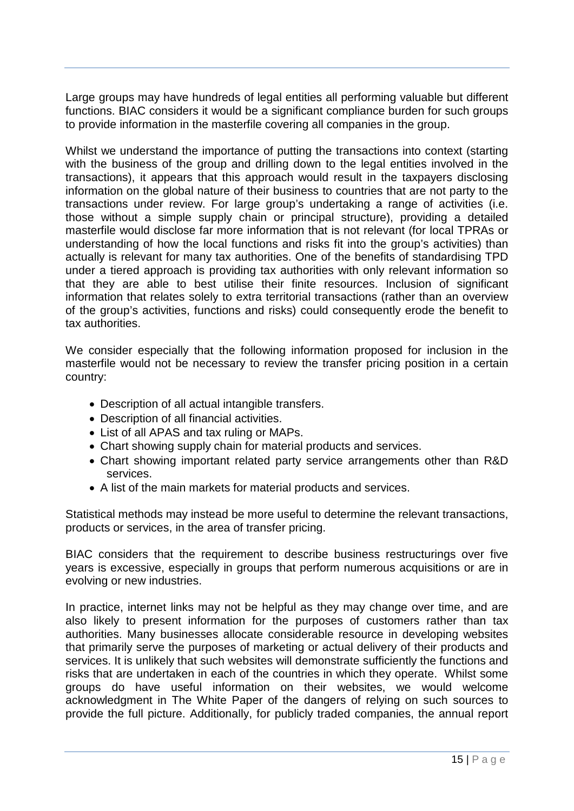Large groups may have hundreds of legal entities all performing valuable but different functions. BIAC considers it would be a significant compliance burden for such groups to provide information in the masterfile covering all companies in the group.

Whilst we understand the importance of putting the transactions into context (starting with the business of the group and drilling down to the legal entities involved in the transactions), it appears that this approach would result in the taxpayers disclosing information on the global nature of their business to countries that are not party to the transactions under review. For large group's undertaking a range of activities (i.e. those without a simple supply chain or principal structure), providing a detailed masterfile would disclose far more information that is not relevant (for local TPRAs or understanding of how the local functions and risks fit into the group's activities) than actually is relevant for many tax authorities. One of the benefits of standardising TPD under a tiered approach is providing tax authorities with only relevant information so that they are able to best utilise their finite resources. Inclusion of significant information that relates solely to extra territorial transactions (rather than an overview of the group's activities, functions and risks) could consequently erode the benefit to tax authorities.

We consider especially that the following information proposed for inclusion in the masterfile would not be necessary to review the transfer pricing position in a certain country:

- Description of all actual intangible transfers.
- Description of all financial activities.
- List of all APAS and tax ruling or MAPs.
- Chart showing supply chain for material products and services.
- Chart showing important related party service arrangements other than R&D services.
- A list of the main markets for material products and services.

Statistical methods may instead be more useful to determine the relevant transactions, products or services, in the area of transfer pricing.

BIAC considers that the requirement to describe business restructurings over five years is excessive, especially in groups that perform numerous acquisitions or are in evolving or new industries.

In practice, internet links may not be helpful as they may change over time, and are also likely to present information for the purposes of customers rather than tax authorities. Many businesses allocate considerable resource in developing websites that primarily serve the purposes of marketing or actual delivery of their products and services. It is unlikely that such websites will demonstrate sufficiently the functions and risks that are undertaken in each of the countries in which they operate. Whilst some groups do have useful information on their websites, we would welcome acknowledgment in The White Paper of the dangers of relying on such sources to provide the full picture. Additionally, for publicly traded companies, the annual report